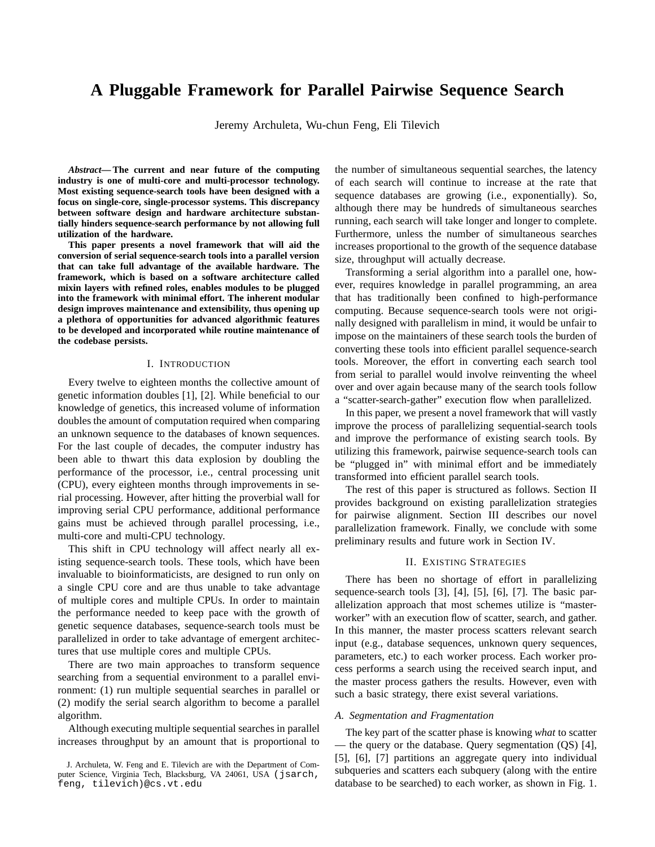# **A Pluggable Framework for Parallel Pairwise Sequence Search**

Jeremy Archuleta, Wu-chun Feng, Eli Tilevich

*Abstract***— The current and near future of the computing industry is one of multi-core and multi-processor technology. Most existing sequence-search tools have been designed with a focus on single-core, single-processor systems. This discrepancy between software design and hardware architecture substantially hinders sequence-search performance by not allowing full utilization of the hardware.**

**This paper presents a novel framework that will aid the conversion of serial sequence-search tools into a parallel version that can take full advantage of the available hardware. The framework, which is based on a software architecture called mixin layers with refined roles, enables modules to be plugged into the framework with minimal effort. The inherent modular design improves maintenance and extensibility, thus opening up a plethora of opportunities for advanced algorithmic features to be developed and incorporated while routine maintenance of the codebase persists.**

#### I. INTRODUCTION

Every twelve to eighteen months the collective amount of genetic information doubles [1], [2]. While beneficial to our knowledge of genetics, this increased volume of information doubles the amount of computation required when comparing an unknown sequence to the databases of known sequences. For the last couple of decades, the computer industry has been able to thwart this data explosion by doubling the performance of the processor, i.e., central processing unit (CPU), every eighteen months through improvements in serial processing. However, after hitting the proverbial wall for improving serial CPU performance, additional performance gains must be achieved through parallel processing, i.e., multi-core and multi-CPU technology.

This shift in CPU technology will affect nearly all existing sequence-search tools. These tools, which have been invaluable to bioinformaticists, are designed to run only on a single CPU core and are thus unable to take advantage of multiple cores and multiple CPUs. In order to maintain the performance needed to keep pace with the growth of genetic sequence databases, sequence-search tools must be parallelized in order to take advantage of emergent architectures that use multiple cores and multiple CPUs.

There are two main approaches to transform sequence searching from a sequential environment to a parallel environment: (1) run multiple sequential searches in parallel or (2) modify the serial search algorithm to become a parallel algorithm.

Although executing multiple sequential searches in parallel increases throughput by an amount that is proportional to

the number of simultaneous sequential searches, the latency of each search will continue to increase at the rate that sequence databases are growing (i.e., exponentially). So, although there may be hundreds of simultaneous searches running, each search will take longer and longer to complete. Furthermore, unless the number of simultaneous searches increases proportional to the growth of the sequence database size, throughput will actually decrease.

Transforming a serial algorithm into a parallel one, however, requires knowledge in parallel programming, an area that has traditionally been confined to high-performance computing. Because sequence-search tools were not originally designed with parallelism in mind, it would be unfair to impose on the maintainers of these search tools the burden of converting these tools into efficient parallel sequence-search tools. Moreover, the effort in converting each search tool from serial to parallel would involve reinventing the wheel over and over again because many of the search tools follow a "scatter-search-gather" execution flow when parallelized.

In this paper, we present a novel framework that will vastly improve the process of parallelizing sequential-search tools and improve the performance of existing search tools. By utilizing this framework, pairwise sequence-search tools can be "plugged in" with minimal effort and be immediately transformed into efficient parallel search tools.

The rest of this paper is structured as follows. Section II provides background on existing parallelization strategies for pairwise alignment. Section III describes our novel parallelization framework. Finally, we conclude with some preliminary results and future work in Section IV.

### II. EXISTING STRATEGIES

There has been no shortage of effort in parallelizing sequence-search tools [3], [4], [5], [6], [7]. The basic parallelization approach that most schemes utilize is "masterworker" with an execution flow of scatter, search, and gather. In this manner, the master process scatters relevant search input (e.g., database sequences, unknown query sequences, parameters, etc.) to each worker process. Each worker process performs a search using the received search input, and the master process gathers the results. However, even with such a basic strategy, there exist several variations.

## *A. Segmentation and Fragmentation*

The key part of the scatter phase is knowing *what* to scatter — the query or the database. Query segmentation (QS) [4], [5], [6], [7] partitions an aggregate query into individual subqueries and scatters each subquery (along with the entire database to be searched) to each worker, as shown in Fig. 1.

J. Archuleta, W. Feng and E. Tilevich are with the Department of Computer Science, Virginia Tech, Blacksburg, VA 24061, USA (jsarch, feng, tilevich)@cs.vt.edu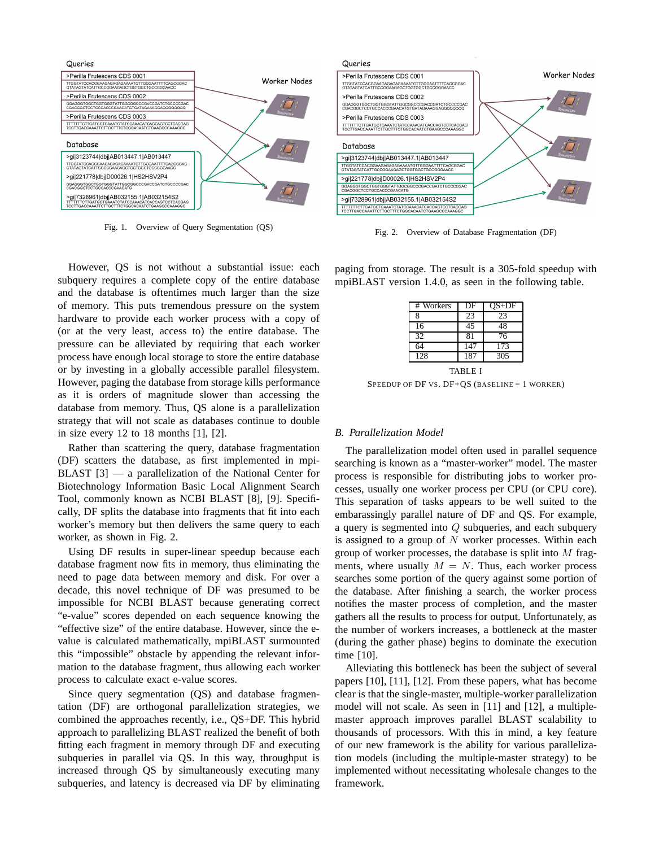Queries



Fig. 1. Overview of Query Segmentation (QS)

However, QS is not without a substantial issue: each subquery requires a complete copy of the entire database and the database is oftentimes much larger than the size of memory. This puts tremendous pressure on the system hardware to provide each worker process with a copy of (or at the very least, access to) the entire database. The pressure can be alleviated by requiring that each worker process have enough local storage to store the entire database or by investing in a globally accessible parallel filesystem. However, paging the database from storage kills performance as it is orders of magnitude slower than accessing the database from memory. Thus, QS alone is a parallelization strategy that will not scale as databases continue to double in size every 12 to 18 months [1], [2].

Rather than scattering the query, database fragmentation (DF) scatters the database, as first implemented in mpi-BLAST [3] — a parallelization of the National Center for Biotechnology Information Basic Local Alignment Search Tool, commonly known as NCBI BLAST [8], [9]. Specifically, DF splits the database into fragments that fit into each worker's memory but then delivers the same query to each worker, as shown in Fig. 2.

Using DF results in super-linear speedup because each database fragment now fits in memory, thus eliminating the need to page data between memory and disk. For over a decade, this novel technique of DF was presumed to be impossible for NCBI BLAST because generating correct "e-value" scores depended on each sequence knowing the "effective size" of the entire database. However, since the evalue is calculated mathematically, mpiBLAST surmounted this "impossible" obstacle by appending the relevant information to the database fragment, thus allowing each worker process to calculate exact e-value scores.

Since query segmentation (QS) and database fragmentation (DF) are orthogonal parallelization strategies, we combined the approaches recently, i.e., QS+DF. This hybrid approach to parallelizing BLAST realized the benefit of both fitting each fragment in memory through DF and executing subqueries in parallel via QS. In this way, throughput is increased through QS by simultaneously executing many subqueries, and latency is decreased via DF by eliminating



Fig. 2. Overview of Database Fragmentation (DF)

paging from storage. The result is a 305-fold speedup with mpiBLAST version 1.4.0, as seen in the following table.

| # Workers | DF  | $OS+DF$ |
|-----------|-----|---------|
| 8         | 23  | 23      |
| 16        | 45  | 48      |
| 32        | 81  | 76      |
| 64        | 147 | 173     |
| 128       | 187 | 305     |

TABLE I SPEEDUP OF DF VS.  $DF+QS$  (BASELINE = 1 WORKER)

## *B. Parallelization Model*

The parallelization model often used in parallel sequence searching is known as a "master-worker" model. The master process is responsible for distributing jobs to worker processes, usually one worker process per CPU (or CPU core). This separation of tasks appears to be well suited to the embarassingly parallel nature of DF and QS. For example, a query is segmented into Q subqueries, and each subquery is assigned to a group of  $N$  worker processes. Within each group of worker processes, the database is split into  $M$  fragments, where usually  $M = N$ . Thus, each worker process searches some portion of the query against some portion of the database. After finishing a search, the worker process notifies the master process of completion, and the master gathers all the results to process for output. Unfortunately, as the number of workers increases, a bottleneck at the master (during the gather phase) begins to dominate the execution time [10].

Alleviating this bottleneck has been the subject of several papers [10], [11], [12]. From these papers, what has become clear is that the single-master, multiple-worker parallelization model will not scale. As seen in [11] and [12], a multiplemaster approach improves parallel BLAST scalability to thousands of processors. With this in mind, a key feature of our new framework is the ability for various parallelization models (including the multiple-master strategy) to be implemented without necessitating wholesale changes to the framework.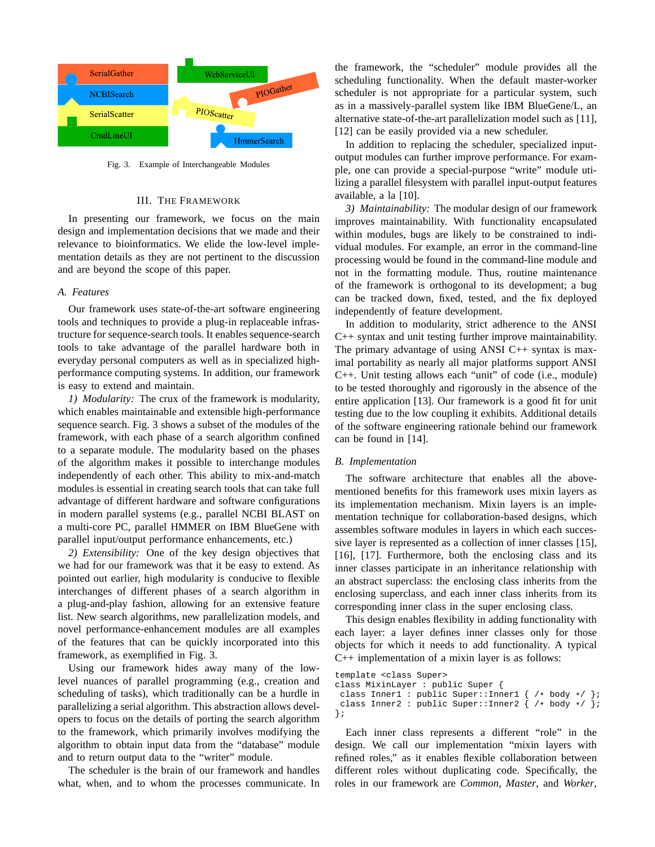

Fig. 3. Example of Interchangeable Modules

## III. THE FRAMEWORK

In presenting our framework, we focus on the main design and implementation decisions that we made and their relevance to bioinformatics. We elide the low-level implementation details as they are not pertinent to the discussion and are beyond the scope of this paper.

#### *A. Features*

Our framework uses state-of-the-art software engineering tools and techniques to provide a plug-in replaceable infrastructure for sequence-search tools. It enables sequence-search tools to take advantage of the parallel hardware both in everyday personal computers as well as in specialized highperformance computing systems. In addition, our framework is easy to extend and maintain.

*1) Modularity:* The crux of the framework is modularity, which enables maintainable and extensible high-performance sequence search. Fig. 3 shows a subset of the modules of the framework, with each phase of a search algorithm confined to a separate module. The modularity based on the phases of the algorithm makes it possible to interchange modules independently of each other. This ability to mix-and-match modules is essential in creating search tools that can take full advantage of different hardware and software configurations in modern parallel systems (e.g., parallel NCBI BLAST on a multi-core PC, parallel HMMER on IBM BlueGene with parallel input/output performance enhancements, etc.)

*2) Extensibility:* One of the key design objectives that we had for our framework was that it be easy to extend. As pointed out earlier, high modularity is conducive to flexible interchanges of different phases of a search algorithm in a plug-and-play fashion, allowing for an extensive feature list. New search algorithms, new parallelization models, and novel performance-enhancement modules are all examples of the features that can be quickly incorporated into this framework, as exemplified in Fig. 3.

Using our framework hides away many of the lowlevel nuances of parallel programming (e.g., creation and scheduling of tasks), which traditionally can be a hurdle in parallelizing a serial algorithm. This abstraction allows developers to focus on the details of porting the search algorithm to the framework, which primarily involves modifying the algorithm to obtain input data from the "database" module and to return output data to the "writer" module.

The scheduler is the brain of our framework and handles what, when, and to whom the processes communicate. In the framework, the "scheduler" module provides all the scheduling functionality. When the default master-worker scheduler is not appropriate for a particular system, such as in a massively-parallel system like IBM BlueGene/L, an alternative state-of-the-art parallelization model such as [11], [12] can be easily provided via a new scheduler.

In addition to replacing the scheduler, specialized inputoutput modules can further improve performance. For example, one can provide a special-purpose "write" module utilizing a parallel filesystem with parallel input-output features available, a la [10].

*3) Maintainability:* The modular design of our framework improves maintainability. With functionality encapsulated within modules, bugs are likely to be constrained to individual modules. For example, an error in the command-line processing would be found in the command-line module and not in the formatting module. Thus, routine maintenance of the framework is orthogonal to its development; a bug can be tracked down, fixed, tested, and the fix deployed independently of feature development.

In addition to modularity, strict adherence to the ANSI C++ syntax and unit testing further improve maintainability. The primary advantage of using ANSI  $C_{++}$  syntax is maximal portability as nearly all major platforms support ANSI C++. Unit testing allows each "unit" of code (i.e., module) to be tested thoroughly and rigorously in the absence of the entire application [13]. Our framework is a good fit for unit testing due to the low coupling it exhibits. Additional details of the software engineering rationale behind our framework can be found in [14].

#### *B. Implementation*

The software architecture that enables all the abovementioned benefits for this framework uses mixin layers as its implementation mechanism. Mixin layers is an implementation technique for collaboration-based designs, which assembles software modules in layers in which each successive layer is represented as a collection of inner classes [15], [16], [17]. Furthermore, both the enclosing class and its inner classes participate in an inheritance relationship with an abstract superclass: the enclosing class inherits from the enclosing superclass, and each inner class inherits from its corresponding inner class in the super enclosing class.

This design enables flexibility in adding functionality with each layer: a layer defines inner classes only for those objects for which it needs to add functionality. A typical C++ implementation of a mixin layer is as follows:

```
template <class Super>
class MixinLayer : public Super {
 class Inner1 : public Super::Inner1 { /* body */ };
 class Inner2 : public Super::Inner2 \{ / * \text{ body } * / \};
};
```
Each inner class represents a different "role" in the design. We call our implementation "mixin layers with refined roles," as it enables flexible collaboration between different roles without duplicating code. Specifically, the roles in our framework are *Common*, *Master*, and *Worker*,